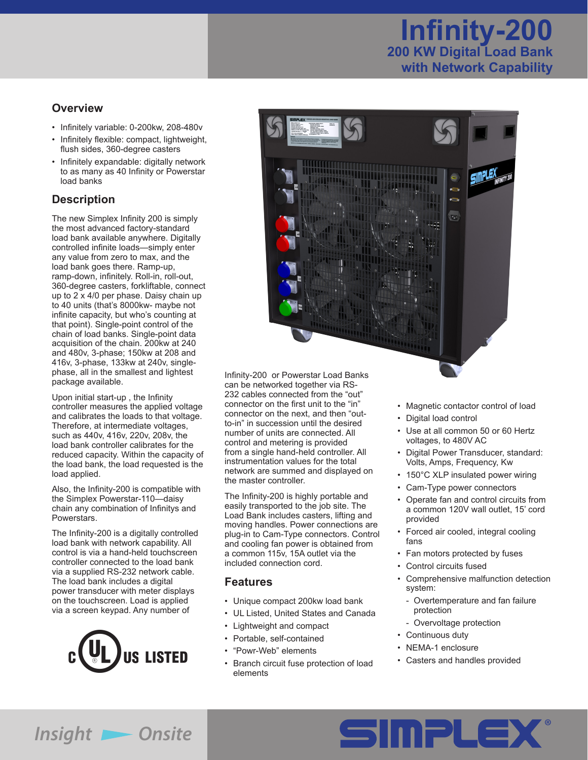# **Infinity-200 200 KW Digital Load Bank with Network Capability**

#### **Overview**

- • Infinitely variable: 0-200kw, 208-480v
- Infinitely flexible: compact, lightweight,
- flush sides, 360-degree casters • Infinitely expandable: digitally network to as many as 40 Infinity or Powerstar load banks

# **Description**

The new Simplex Infinity 200 is simply the most advanced factory-standard load bank available anywhere. Digitally controlled infinite loads—simply enter any value from zero to max, and the load bank goes there. Ramp-up, ramp-down, infinitely. Roll-in, roll-out, 360-degree casters, forkliftable, connect up to 2 x 4/0 per phase. Daisy chain up to 40 units (that's 8000kw- maybe not infinite capacity, but who's counting at that point). Single-point control of the chain of load banks. Single-point data acquisition of the chain. 200kw at 240 and 480v, 3-phase; 150kw at 208 and 416v, 3-phase, 133kw at 240v, singlephase, all in the smallest and lightest package available.

Upon initial start-up , the Infinity controller measures the applied voltage and calibrates the loads to that voltage. Therefore, at intermediate voltages, such as 440v, 416v, 220v, 208v, the load bank controller calibrates for the reduced capacity. Within the capacity of the load bank, the load requested is the load applied.

Also, the Infinity-200 is compatible with the Simplex Powerstar-110—daisy chain any combination of Infinitys and Powerstars.

The Infinity-200 is a digitally controlled load bank with network capability. All control is via a hand-held touchscreen controller connected to the load bank via a supplied RS-232 network cable. The load bank includes a digital power transducer with meter displays on the touchscreen. Load is applied via a screen keypad. Any number of





Infinity-200 or Powerstar Load Banks can be networked together via RS-232 cables connected from the "out" connector on the first unit to the "in" connector on the next, and then "outto-in" in succession until the desired number of units are connected. All control and metering is provided from a single hand-held controller. All instrumentation values for the total network are summed and displayed on the master controller.

The Infinity-200 is highly portable and easily transported to the job site. The Load Bank includes casters, lifting and moving handles. Power connections are plug-in to Cam-Type connectors. Control and cooling fan power is obtained from a common 115v, 15A outlet via the included connection cord.

#### **Features**

- • Unique compact 200kw load bank
- • UL Listed, United States and Canada
- • Lightweight and compact
- • Portable, self-contained
- • "Powr-Web" elements
- • Branch circuit fuse protection of load elements
- Magnetic contactor control of load
- • Digital load control
- • Use at all common 50 or 60 Hertz voltages, to 480V AC
- • Digital Power Transducer, standard: Volts, Amps, Frequency, Kw
- 150°C XLP insulated power wiring
	- Cam-Type power connectors
	- • Operate fan and control circuits from a common 120V wall outlet, 15' cord provided
	- Forced air cooled, integral cooling fans
	- • Fan motors protected by fuses
	- • Control circuits fused
	- • Comprehensive malfunction detection system:
		- Overtemperature and fan failure protection
		- Overvoltage protection
	- Continuous duty
	- • NEMA-1 enclosure
	- • Casters and handles provided